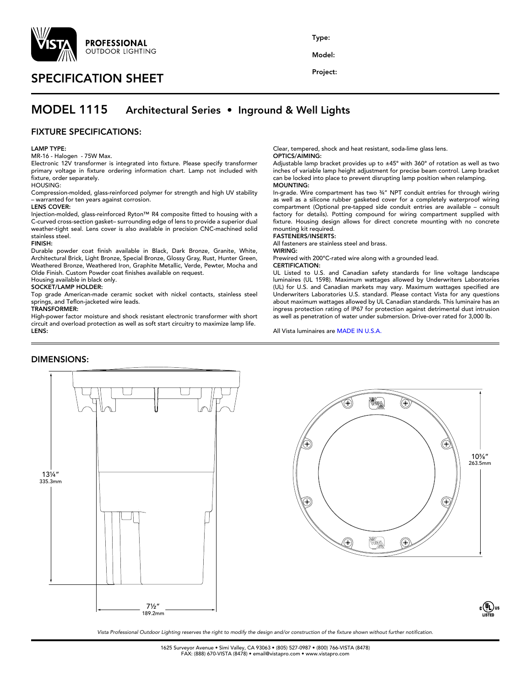

# SPECIFICATION SHEET

Type:

Model:

Project:

## MODEL 1115 Architectural Series • Inground & Well Lights

## FIXTURE SPECIFICATIONS:

#### LAMP TYPE:

MR-16 - Halogen - 75W Max.

Electronic 12V transformer is integrated into fixture. Please specify transformer primary voltage in fixture ordering information chart. Lamp not included with fixture, order separately.

HOUSING:

Compression-molded, glass-reinforced polymer for strength and high UV stability – warranted for ten years against corrosion.

#### LENS COVER:

Injection-molded, glass-reinforced Ryton™ R4 composite fitted to housing with a C-curved cross-section gasket– surrounding edge of lens to provide a superior dual weather-tight seal. Lens cover is also available in precision CNC-machined solid stainless steel.

#### FINISH:

Durable powder coat finish available in Black, Dark Bronze, Granite, White, Architectural Brick, Light Bronze, Special Bronze, Glossy Gray, Rust, Hunter Green, Weathered Bronze, Weathered Iron, Graphite Metallic, Verde, Pewter, Mocha and Olde Finish. Custom Powder coat finishes available on request.

Housing available in black only.

## SOCKET/LAMP HOLDER:

Top grade American-made ceramic socket with nickel contacts, stainless steel springs, and Teflon-jacketed wire leads.

## TRANSFORMER:

High-power factor moisture and shock resistant electronic transformer with short circuit and overload protection as well as soft start circuitry to maximize lamp life. LENS:

#### Clear, tempered, shock and heat resistant, soda-lime glass lens. OPTICS/AIMING:

Adjustable lamp bracket provides up to ±45° with 360° of rotation as well as two inches of variable lamp height adjustment for precise beam control. Lamp bracket can be locked into place to prevent disrupting lamp position when relamping. MOUNTING:

In-grade. Wire compartment has two ¾" NPT conduit entries for through wiring as well as a silicone rubber gasketed cover for a completely waterproof wiring compartment (Optional pre-tapped side conduit entries are available – consult factory for details). Potting compound for wiring compartment supplied with fixture. Housing design allows for direct concrete mounting with no concrete mounting kit required.

## FASTENERS/INSERTS:

All fasteners are stainless steel and brass.

WIRING:

Prewired with 200°C-rated wire along with a grounded lead.

## CERTIFICATION:

UL Listed to U.S. and Canadian safety standards for line voltage landscape luminaires (UL 1598). Maximum wattages allowed by Underwriters Laboratories (UL) for U.S. and Canadian markets may vary. Maximum wattages specified are Underwriters Laboratories U.S. standard. Please contact Vista for any questions about maximum wattages allowed by UL Canadian standards. This luminaire has an ingress protection rating of IP67 for protection against detrimental dust intrusion as well as penetration of water under submersion. Drive-over rated for 3,000 lb.

All Vista luminaires are MADE IN U.S.A.

## DIMENSIONS:





*Vista Professional Outdoor Lighting reserves the right to modify the design and/or construction of the fixture shown without further notification.*

1625 Surveyor Avenue • Simi Valley, CA 93063 • (805) 527-0987 • (800) 766-VISTA (8478) FAX: (888) 670-VISTA (8478) • email@vistapro.com • www.vistapro.com